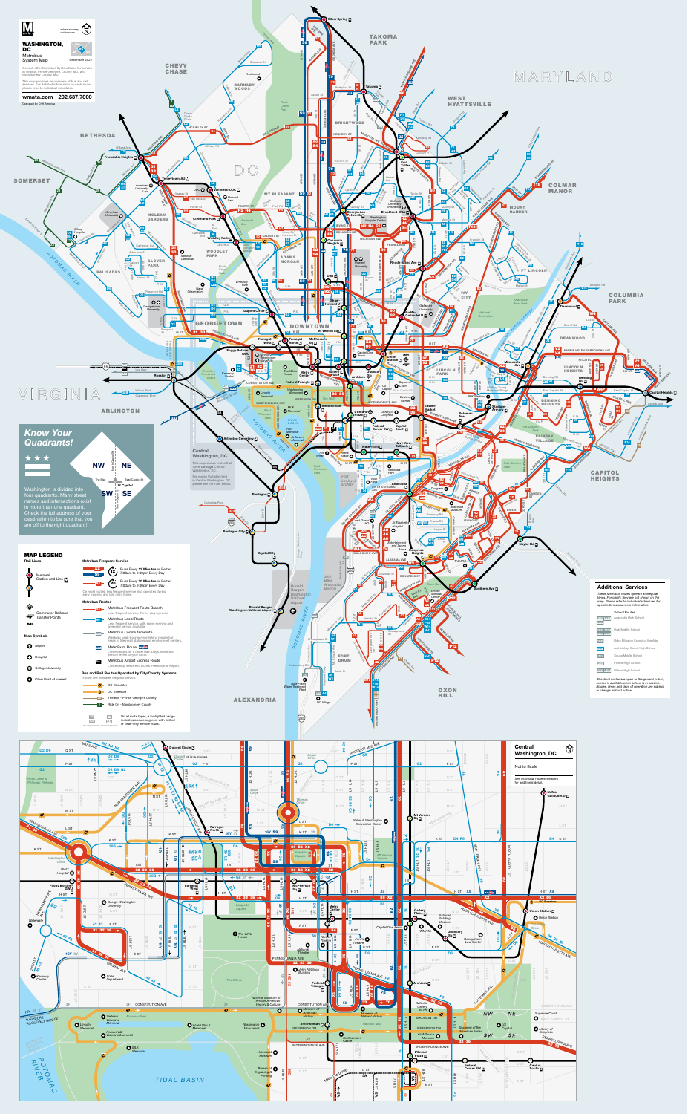